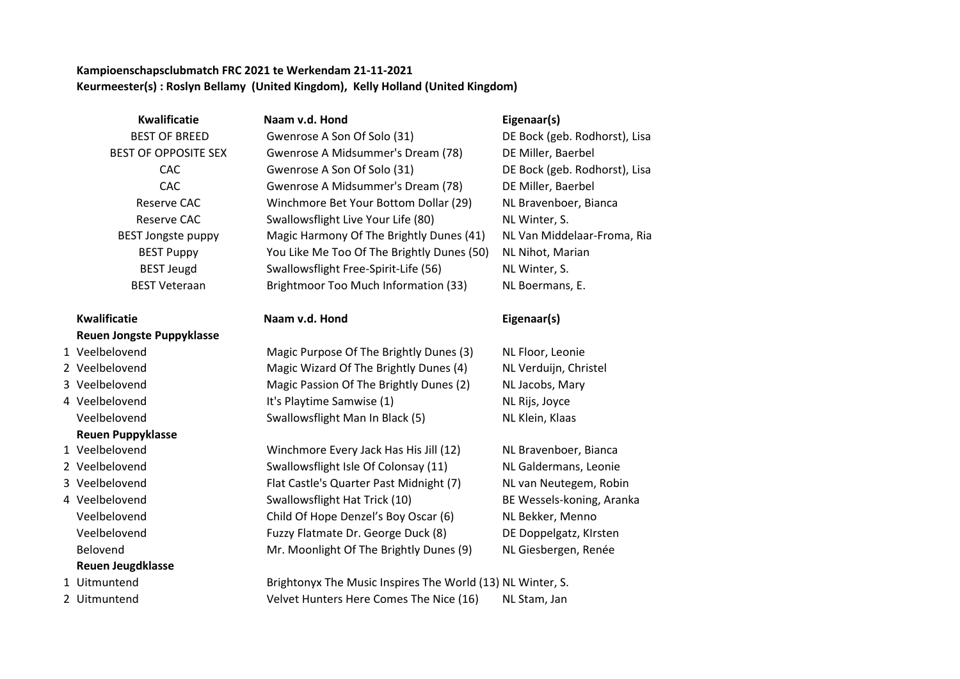### **Kampioenschapsclubmatch FRC 2021 te Werkendam 21-11-2021 Keurmeester(s) : Roslyn Bellamy (United Kingdom), Kelly Holland (United Kingdom)**

**Kwalificatie Naam v.d. Hond Eigenaar(s)**

## **Kwalificatie Naam v.d. Hond Eigenaar(s) Reuen Jongste Puppyklasse**

- 
- 
- 
- 

# **Reuen Puppyklasse**

- 
- 
- 
- **Reuen Jeugdklasse**
- 
- 

 BEST OF BREED Gwenrose A Son Of Solo (31) DE Bock (geb. Rodhorst), Lisa BEST OF OPPOSITE SEX Gwenrose A Midsummer's Dream (78) DE Miller, Baerbel CAC Gwenrose A Son Of Solo (31) DE Bock (geb. Rodhorst), Lisa CAC Gwenrose A Midsummer's Dream (78) DE Miller, Baerbel Reserve CAC Winchmore Bet Your Bottom Dollar (29) NL Bravenboer, Bianca Reserve CAC Swallowsflight Live Your Life (80) NL Winter, S. BEST Jongste puppy Magic Harmony Of The Brightly Dunes (41) NL Van Middelaar-Froma, Ria BEST Puppy You Like Me Too Of The Brightly Dunes (50) NL Nihot, Marian BEST Jeugd Swallowsflight Free-Spirit-Life (56) NL Winter, S. BEST Veteraan Brightmoor Too Much Information (33) NL Boermans, E.

 Veelbelovend Magic Purpose Of The Brightly Dunes (3) NL Floor, Leonie Veelbelovend Magic Wizard Of The Brightly Dunes (4) NL Verduijn, Christel Veelbelovend Magic Passion Of The Brightly Dunes (2) NL Jacobs, Mary Veelbelovend It's Playtime Samwise (1) NL Rijs, Joyce Veelbelovend Swallowsflight Man In Black (5) NL Klein, Klaas

1 Veelbelovend Winchmore Every Jack Has His Jill (12) NL Bravenboer, Bianca 2 Veelbelovend Swallowsflight Isle Of Colonsay (11) NL Galdermans, Leonie 3 Veelbelovend Flat Castle's Quarter Past Midnight (7) NL van Neutegem, Robin 4 Veelbelovend Swallowsflight Hat Trick (10) BE Wessels-koning, Aranka Veelbelovend Child Of Hope Denzel's Boy Oscar (6) NL Bekker, Menno Veelbelovend Fuzzy Flatmate Dr. George Duck (8) DE Doppelgatz, KIrsten Belovend Mr. Moonlight Of The Brightly Dunes (9) NL Giesbergen, Renée

1 Uitmuntend Brightonyx The Music Inspires The World (13) NL Winter, S. 2 Uitmuntend Velvet Hunters Here Comes The Nice (16) NL Stam, Jan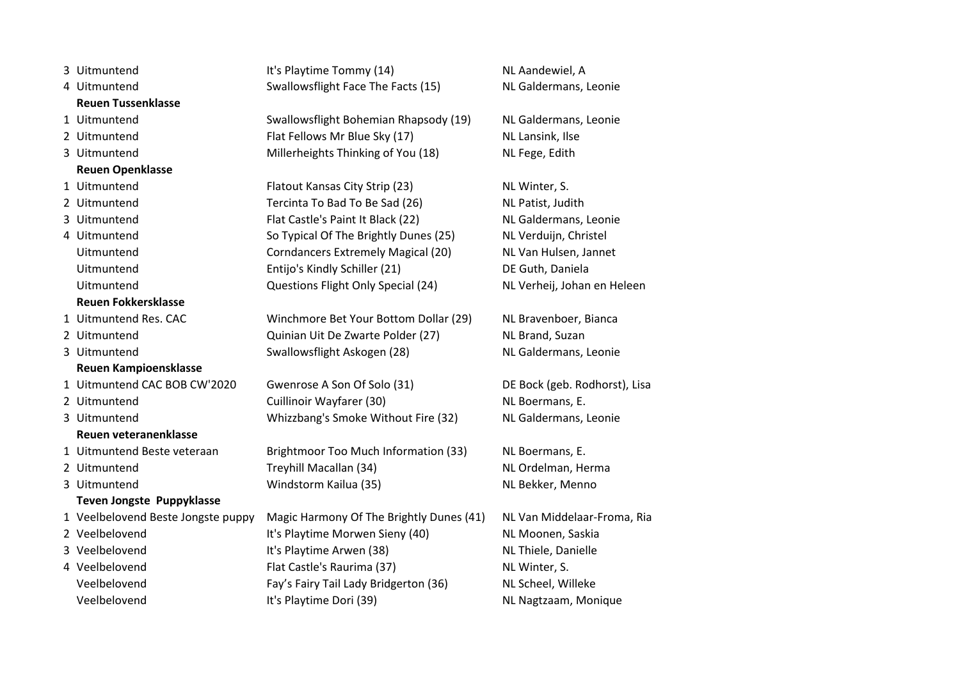| 3 Uitmuntend                       | It's Playtime Tommy (14)                 | NL Aandewiel, A         |
|------------------------------------|------------------------------------------|-------------------------|
| 4 Uitmuntend                       | Swallowsflight Face The Facts (15)       | NL Galdermans, Leonie   |
| <b>Reuen Tussenklasse</b>          |                                          |                         |
| 1 Uitmuntend                       | Swallowsflight Bohemian Rhapsody (19)    | NL Galdermans, Leonie   |
| 2 Uitmuntend                       | Flat Fellows Mr Blue Sky (17)            | NL Lansink, Ilse        |
| 3 Uitmuntend                       | Millerheights Thinking of You (18)       | NL Fege, Edith          |
| <b>Reuen Openklasse</b>            |                                          |                         |
| 1 Uitmuntend                       | Flatout Kansas City Strip (23)           | NL Winter, S.           |
| 2 Uitmuntend                       | Tercinta To Bad To Be Sad (26)           | NL Patist, Judith       |
| 3 Uitmuntend                       | Flat Castle's Paint It Black (22)        | NL Galdermans, Leonie   |
| 4 Uitmuntend                       | So Typical Of The Brightly Dunes (25)    | NL Verduijn, Christel   |
| Uitmuntend                         | Corndancers Extremely Magical (20)       | NL Van Hulsen, Jannet   |
| Uitmuntend                         | Entijo's Kindly Schiller (21)            | DE Guth, Daniela        |
| Uitmuntend                         | Questions Flight Only Special (24)       | NL Verheij, Johan en He |
| <b>Reuen Fokkersklasse</b>         |                                          |                         |
| 1 Uitmuntend Res. CAC              | Winchmore Bet Your Bottom Dollar (29)    | NL Bravenboer, Bianca   |
| 2 Uitmuntend                       | Quinian Uit De Zwarte Polder (27)        | NL Brand, Suzan         |
| 3 Uitmuntend                       | Swallowsflight Askogen (28)              | NL Galdermans, Leonie   |
| <b>Reuen Kampioensklasse</b>       |                                          |                         |
| 1 Uitmuntend CAC BOB CW'2020       | Gwenrose A Son Of Solo (31)              | DE Bock (geb. Rodhorst) |
| 2 Uitmuntend                       | Cuillinoir Wayfarer (30)                 | NL Boermans, E.         |
| 3 Uitmuntend                       | Whizzbang's Smoke Without Fire (32)      | NL Galdermans, Leonie   |
| Reuen veteranenklasse              |                                          |                         |
| 1 Uitmuntend Beste veteraan        | Brightmoor Too Much Information (33)     | NL Boermans, E.         |
| 2 Uitmuntend                       | Treyhill Macallan (34)                   | NL Ordelman, Herma      |
| 3 Uitmuntend                       | Windstorm Kailua (35)                    | NL Bekker, Menno        |
| Teven Jongste Puppyklasse          |                                          |                         |
| 1 Veelbelovend Beste Jongste puppy | Magic Harmony Of The Brightly Dunes (41) | NL Van Middelaar-From   |
| 2 Veelbelovend                     | It's Playtime Morwen Sieny (40)          | NL Moonen, Saskia       |
| 3 Veelbelovend                     | It's Playtime Arwen (38)                 | NL Thiele, Danielle     |
| 4 Veelbelovend                     | Flat Castle's Raurima (37)               | NL Winter, S.           |
| Veelbelovend                       | Fay's Fairy Tail Lady Bridgerton (36)    | NL Scheel, Willeke      |
| Veelbelovend                       | It's Playtime Dori (39)                  | NL Nagtzaam, Monique    |

NL Winter, S. NL Patist, Judith NL Galdermans, Leonie NL Verduijn, Christel NL Van Hulsen, Jannet DE Guth, Daniela NL Verheij, Johan en Heleen

DE Bock (geb. Rodhorst), Lisa NL Boermans, E. NL Galdermans, Leonie

NL Van Middelaar-Froma, Ria NL Moonen, Saskia NL Thiele, Danielle NL Winter, S. NL Scheel, Willeke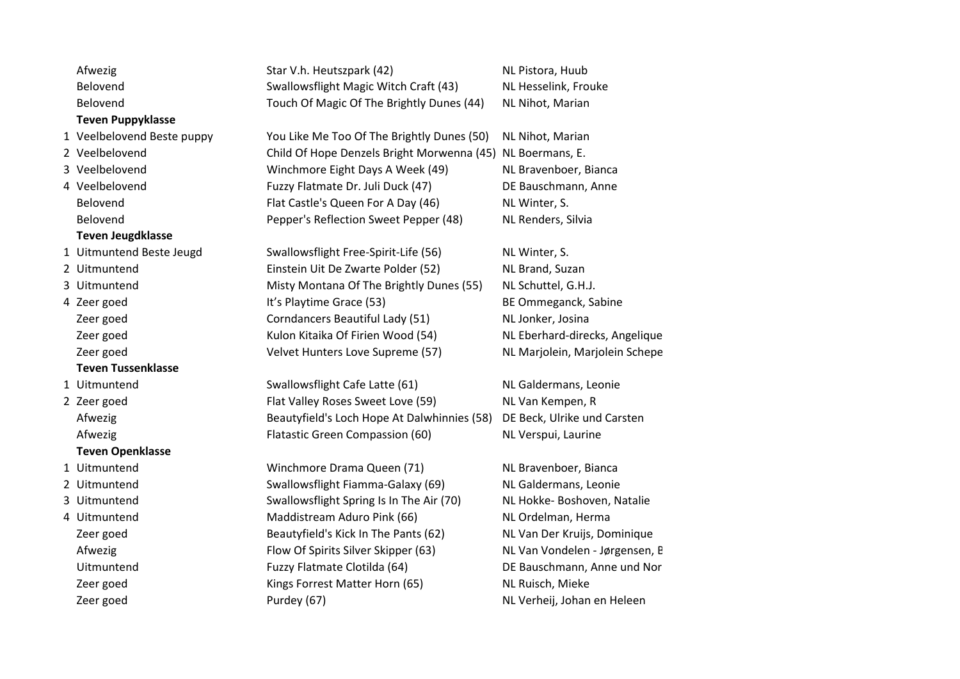| Afwezig                    | Star V.h. Heutszpark (42)                                  | NL Pistora, Huub               |
|----------------------------|------------------------------------------------------------|--------------------------------|
| Belovend                   | Swallowsflight Magic Witch Craft (43)                      | NL Hesselink, Frouke           |
| Belovend                   | Touch Of Magic Of The Brightly Dunes (44)                  | NL Nihot, Marian               |
| <b>Teven Puppyklasse</b>   |                                                            |                                |
| 1 Veelbelovend Beste puppy | You Like Me Too Of The Brightly Dunes (50)                 | NL Nihot, Marian               |
| 2 Veelbelovend             | Child Of Hope Denzels Bright Morwenna (45) NL Boermans, E. |                                |
| 3 Veelbelovend             | Winchmore Eight Days A Week (49)                           | NL Bravenboer, Bianca          |
| 4 Veelbelovend             | Fuzzy Flatmate Dr. Juli Duck (47)                          | DE Bauschmann, Anne            |
| Belovend                   | Flat Castle's Queen For A Day (46)                         | NL Winter, S.                  |
| Belovend                   | Pepper's Reflection Sweet Pepper (48)                      | NL Renders, Silvia             |
| <b>Teven Jeugdklasse</b>   |                                                            |                                |
| 1 Uitmuntend Beste Jeugd   | Swallowsflight Free-Spirit-Life (56)                       | NL Winter, S.                  |
| 2 Uitmuntend               | Einstein Uit De Zwarte Polder (52)                         | NL Brand, Suzan                |
| 3 Uitmuntend               | Misty Montana Of The Brightly Dunes (55)                   | NL Schuttel, G.H.J.            |
| 4 Zeer goed                | It's Playtime Grace (53)                                   | BE Ommeganck, Sabine           |
| Zeer goed                  | Corndancers Beautiful Lady (51)                            | NL Jonker, Josina              |
| Zeer goed                  | Kulon Kitaika Of Firien Wood (54)                          | NL Eberhard-direcks, Angelique |
| Zeer goed                  | Velvet Hunters Love Supreme (57)                           | NL Marjolein, Marjolein Schepe |
| <b>Teven Tussenklasse</b>  |                                                            |                                |
| 1 Uitmuntend               | Swallowsflight Cafe Latte (61)                             | NL Galdermans, Leonie          |
| 2 Zeer goed                | Flat Valley Roses Sweet Love (59)                          | NL Van Kempen, R               |
| Afwezig                    | Beautyfield's Loch Hope At Dalwhinnies (58)                | DE Beck, Ulrike und Carsten    |
| Afwezig                    | Flatastic Green Compassion (60)                            | NL Verspui, Laurine            |
| <b>Teven Openklasse</b>    |                                                            |                                |
| 1 Uitmuntend               | Winchmore Drama Queen (71)                                 | NL Bravenboer, Bianca          |
| 2 Uitmuntend               | Swallowsflight Fiamma-Galaxy (69)                          | NL Galdermans, Leonie          |
| 3 Uitmuntend               | Swallowsflight Spring Is In The Air (70)                   | NL Hokke- Boshoven, Natalie    |
| 4 Uitmuntend               | Maddistream Aduro Pink (66)                                | NL Ordelman, Herma             |
| Zeer goed                  | Beautyfield's Kick In The Pants (62)                       | NL Van Der Kruijs, Dominique   |
| Afwezig                    | Flow Of Spirits Silver Skipper (63)                        | NL Van Vondelen - Jørgensen, B |
| Uitmuntend                 | Fuzzy Flatmate Clotilda (64)                               | DE Bauschmann, Anne und Nor    |
| Zeer goed                  | Kings Forrest Matter Horn (65)                             | NL Ruisch, Mieke               |
| Zeer goed                  | Purdey (67)                                                | NL Verheij, Johan en Heleen    |
|                            |                                                            |                                |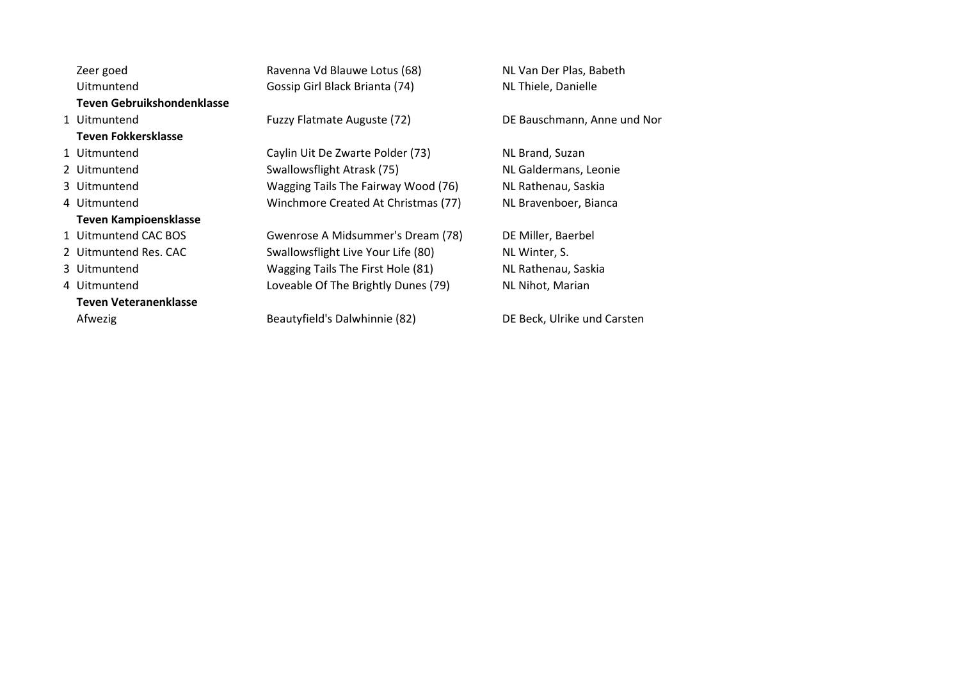Zeer goed **Ravenna Vd Blauwe Lotus (68)** NL Van Der Plas, Babeth Uitmuntend Gossip Girl Black Brianta (74) NL Thiele, Danielle **Teven Gebruikshondenklasse** 1 Uitmuntend Fuzzy Flatmate Auguste (72) DE Bauschmann, Anne und Nora **Teven Fokkersklasse** 1 Uitmuntend Caylin Uit De Zwarte Polder (73) NL Brand, Suzan 2 Uitmuntend Swallowsflight Atrask (75) NL Galdermans, Leonie 3 Uitmuntend Wagging Tails The Fairway Wood (76) NL Rathenau, Saskia 4 Uitmuntend Winchmore Created At Christmas (77) NL Bravenboer, Bianca **Teven Kampioensklasse** 1 Uitmuntend CAC BOS Gwenrose A Midsummer's Dream (78) DE Miller, Baerbel 2 Uitmuntend Res. CAC Swallowsflight Live Your Life (80) NL Winter, S. 3 Uitmuntend Wagging Tails The First Hole (81) NL Rathenau, Saskia 4 Uitmuntend **Loveable Of The Brightly Dunes (79)** NL Nihot, Marian **Teven Veteranenklasse** Afwezig **Beautyfield's Dalwhinnie (82)** DE Beck, Ulrike und Carsten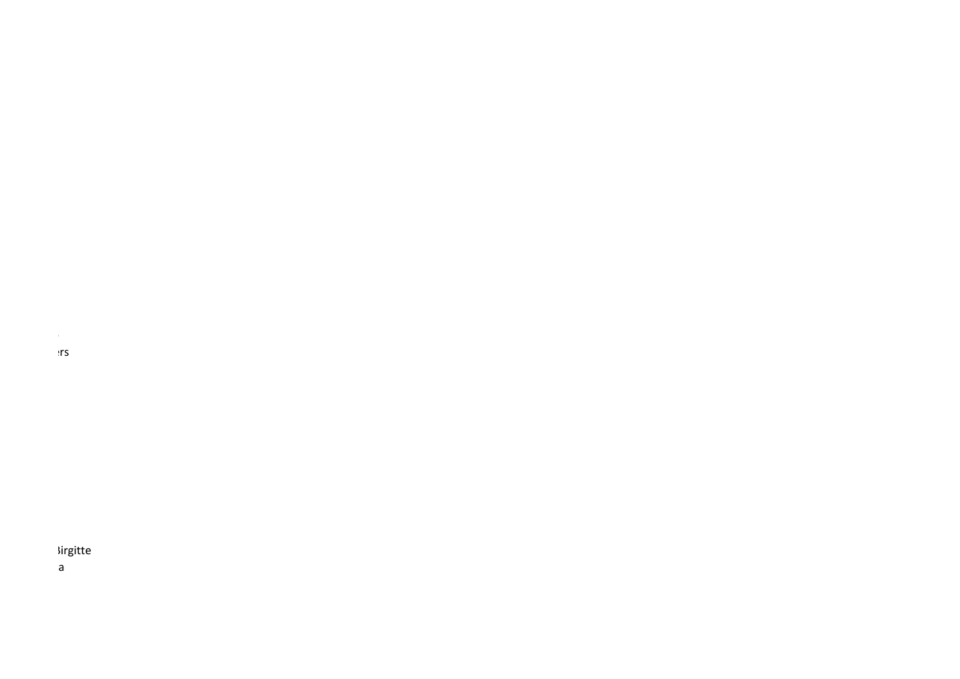NL Marjolein, Marjolein Schepers

NL Eberhard-direcks, Angelique

## **Nirgitte**

DE Bauschmann, Anne und Nora